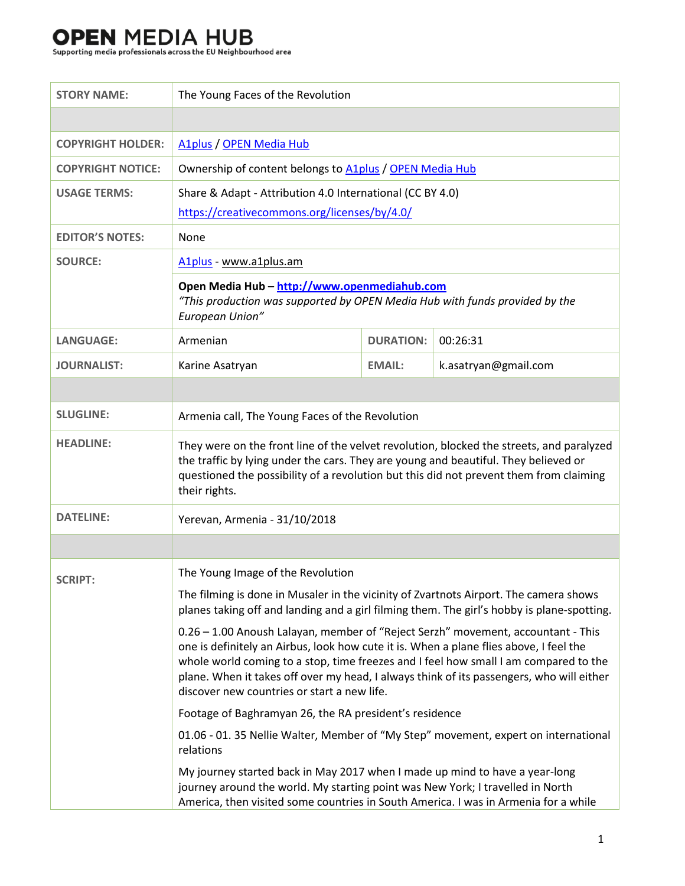# **OPEN MEDIA HUB**<br>Supporting media professionals across the EU Neighbourhood area

| <b>STORY NAME:</b>       | The Young Faces of the Revolution                                                                                                                                                                                                                                                                                                                                                                             |                  |                      |
|--------------------------|---------------------------------------------------------------------------------------------------------------------------------------------------------------------------------------------------------------------------------------------------------------------------------------------------------------------------------------------------------------------------------------------------------------|------------------|----------------------|
|                          |                                                                                                                                                                                                                                                                                                                                                                                                               |                  |                      |
| <b>COPYRIGHT HOLDER:</b> | A1plus / OPEN Media Hub                                                                                                                                                                                                                                                                                                                                                                                       |                  |                      |
| <b>COPYRIGHT NOTICE:</b> | Ownership of content belongs to A1plus / OPEN Media Hub                                                                                                                                                                                                                                                                                                                                                       |                  |                      |
| <b>USAGE TERMS:</b>      | Share & Adapt - Attribution 4.0 International (CC BY 4.0)                                                                                                                                                                                                                                                                                                                                                     |                  |                      |
|                          | https://creativecommons.org/licenses/by/4.0/                                                                                                                                                                                                                                                                                                                                                                  |                  |                      |
| <b>EDITOR'S NOTES:</b>   | None                                                                                                                                                                                                                                                                                                                                                                                                          |                  |                      |
| <b>SOURCE:</b>           | A1plus - www.a1plus.am                                                                                                                                                                                                                                                                                                                                                                                        |                  |                      |
|                          | Open Media Hub - http://www.openmediahub.com<br>"This production was supported by OPEN Media Hub with funds provided by the<br>European Union"                                                                                                                                                                                                                                                                |                  |                      |
| <b>LANGUAGE:</b>         | Armenian                                                                                                                                                                                                                                                                                                                                                                                                      | <b>DURATION:</b> | 00:26:31             |
| <b>JOURNALIST:</b>       | Karine Asatryan                                                                                                                                                                                                                                                                                                                                                                                               | <b>EMAIL:</b>    | k.asatryan@gmail.com |
|                          |                                                                                                                                                                                                                                                                                                                                                                                                               |                  |                      |
| <b>SLUGLINE:</b>         | Armenia call, The Young Faces of the Revolution                                                                                                                                                                                                                                                                                                                                                               |                  |                      |
| <b>HEADLINE:</b>         | They were on the front line of the velvet revolution, blocked the streets, and paralyzed<br>the traffic by lying under the cars. They are young and beautiful. They believed or<br>questioned the possibility of a revolution but this did not prevent them from claiming<br>their rights.                                                                                                                    |                  |                      |
| <b>DATELINE:</b>         | Yerevan, Armenia - 31/10/2018                                                                                                                                                                                                                                                                                                                                                                                 |                  |                      |
|                          |                                                                                                                                                                                                                                                                                                                                                                                                               |                  |                      |
| <b>SCRIPT:</b>           | The Young Image of the Revolution                                                                                                                                                                                                                                                                                                                                                                             |                  |                      |
|                          | The filming is done in Musaler in the vicinity of Zvartnots Airport. The camera shows<br>planes taking off and landing and a girl filming them. The girl's hobby is plane-spotting.                                                                                                                                                                                                                           |                  |                      |
|                          | 0.26 - 1.00 Anoush Lalayan, member of "Reject Serzh" movement, accountant - This<br>one is definitely an Airbus, look how cute it is. When a plane flies above, I feel the<br>whole world coming to a stop, time freezes and I feel how small I am compared to the<br>plane. When it takes off over my head, I always think of its passengers, who will either<br>discover new countries or start a new life. |                  |                      |
|                          | Footage of Baghramyan 26, the RA president's residence                                                                                                                                                                                                                                                                                                                                                        |                  |                      |
|                          | 01.06 - 01. 35 Nellie Walter, Member of "My Step" movement, expert on international<br>relations                                                                                                                                                                                                                                                                                                              |                  |                      |
|                          | My journey started back in May 2017 when I made up mind to have a year-long<br>journey around the world. My starting point was New York; I travelled in North<br>America, then visited some countries in South America. I was in Armenia for a while                                                                                                                                                          |                  |                      |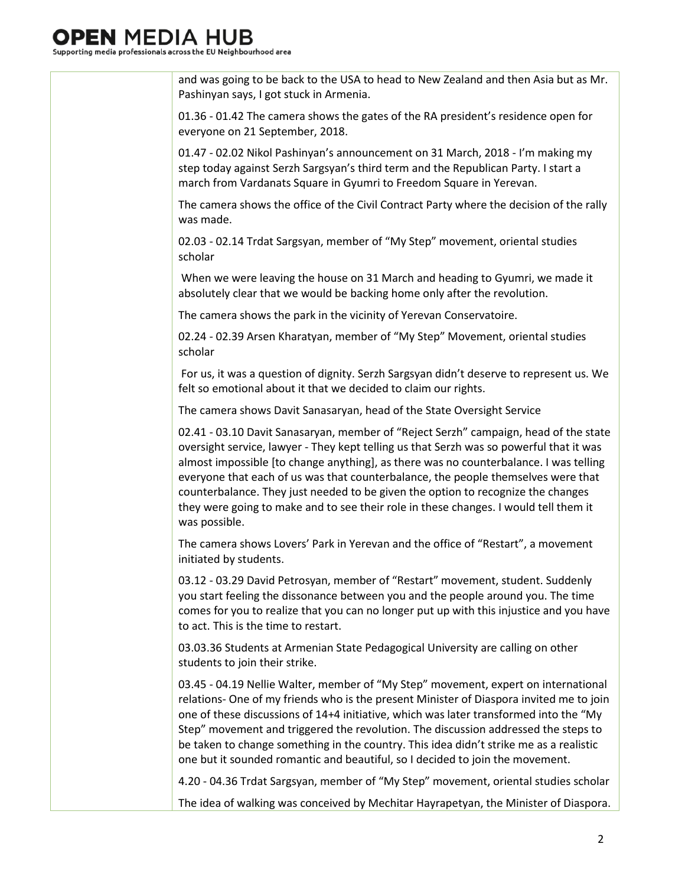### MEDIA

Supporting media professionals across the EU Neighbourhood area

and was going to be back to the USA to head to New Zealand and then Asia but as Mr. Pashinyan says, I got stuck in Armenia.

01.36 - 01.42 The camera shows the gates of the RA president's residence open for everyone on 21 September, 2018.

01.47 - 02.02 Nikol Pashinyan's announcement on 31 March, 2018 - I'm making my step today against Serzh Sargsyan's third term and the Republican Party. I start a march from Vardanats Square in Gyumri to Freedom Square in Yerevan.

The camera shows the office of the Civil Contract Party where the decision of the rally was made.

02.03 - 02.14 Trdat Sargsyan, member of "My Step" movement, oriental studies scholar

When we were leaving the house on 31 March and heading to Gyumri, we made it absolutely clear that we would be backing home only after the revolution.

The camera shows the park in the vicinity of Yerevan Conservatoire.

02.24 - 02.39 Arsen Kharatyan, member of "My Step" Movement, oriental studies scholar

For us, it was a question of dignity. Serzh Sargsyan didn't deserve to represent us. We felt so emotional about it that we decided to claim our rights.

The camera shows Davit Sanasaryan, head of the State Oversight Service

02.41 - 03.10 Davit Sanasaryan, member of "Reject Serzh" campaign, head of the state oversight service, lawyer - They kept telling us that Serzh was so powerful that it was almost impossible [to change anything], as there was no counterbalance. I was telling everyone that each of us was that counterbalance, the people themselves were that counterbalance. They just needed to be given the option to recognize the changes they were going to make and to see their role in these changes. I would tell them it was possible.

The camera shows Lovers' Park in Yerevan and the office of "Restart", a movement initiated by students.

03.12 - 03.29 David Petrosyan, member of "Restart" movement, student. Suddenly you start feeling the dissonance between you and the people around you. The time comes for you to realize that you can no longer put up with this injustice and you have to act. This is the time to restart.

03.03.36 Students at Armenian State Pedagogical University are calling on other students to join their strike.

03.45 - 04.19 Nellie Walter, member of "My Step" movement, expert on international relations- One of my friends who is the present Minister of Diaspora invited me to join one of these discussions of 14+4 initiative, which was later transformed into the "My Step" movement and triggered the revolution. The discussion addressed the steps to be taken to change something in the country. This idea didn't strike me as a realistic one but it sounded romantic and beautiful, so I decided to join the movement.

4.20 - 04.36 Trdat Sargsyan, member of "My Step" movement, oriental studies scholar

The idea of walking was conceived by Mechitar Hayrapetyan, the Minister of Diaspora.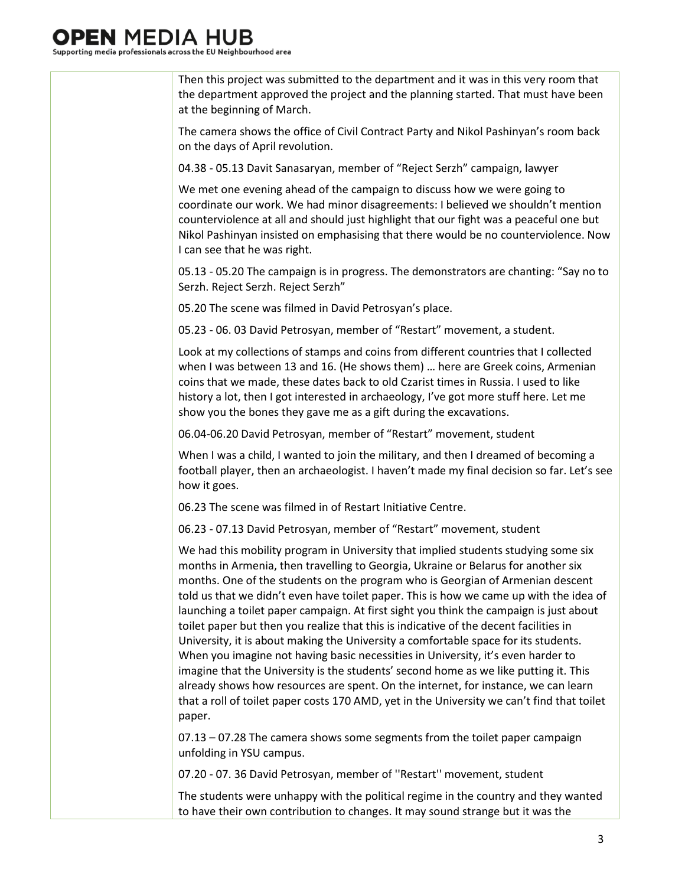### I MEDIA

Supporting media professionals across the EU Neighbourhood area

Then this project was submitted to the department and it was in this very room that the department approved the project and the planning started. That must have been at the beginning of March.

The camera shows the office of Civil Contract Party and Nikol Pashinyan's room back on the days of April revolution.

04.38 - 05.13 Davit Sanasaryan, member of "Reject Serzh" campaign, lawyer

We met one evening ahead of the campaign to discuss how we were going to coordinate our work. We had minor disagreements: I believed we shouldn't mention counterviolence at all and should just highlight that our fight was a peaceful one but Nikol Pashinyan insisted on emphasising that there would be no counterviolence. Now I can see that he was right.

05.13 - 05.20 The campaign is in progress. The demonstrators are chanting: "Say no to Serzh. Reject Serzh. Reject Serzh"

05.20 The scene was filmed in David Petrosyan's place.

05.23 - 06. 03 David Petrosyan, member of "Restart" movement, a student.

Look at my collections of stamps and coins from different countries that I collected when I was between 13 and 16. (He shows them) … here are Greek coins, Armenian coins that we made, these dates back to old Czarist times in Russia. I used to like history a lot, then I got interested in archaeology, I've got more stuff here. Let me show you the bones they gave me as a gift during the excavations.

06.04-06.20 David Petrosyan, member of "Restart" movement, student

When I was a child, I wanted to join the military, and then I dreamed of becoming a football player, then an archaeologist. I haven't made my final decision so far. Let's see how it goes.

06.23 The scene was filmed in of Restart Initiative Centre.

06.23 - 07.13 David Petrosyan, member of "Restart" movement, student

We had this mobility program in University that implied students studying some six months in Armenia, then travelling to Georgia, Ukraine or Belarus for another six months. One of the students on the program who is Georgian of Armenian descent told us that we didn't even have toilet paper. This is how we came up with the idea of launching a toilet paper campaign. At first sight you think the campaign is just about toilet paper but then you realize that this is indicative of the decent facilities in University, it is about making the University a comfortable space for its students. When you imagine not having basic necessities in University, it's even harder to imagine that the University is the students' second home as we like putting it. This already shows how resources are spent. On the internet, for instance, we can learn that a roll of toilet paper costs 170 AMD, yet in the University we can't find that toilet paper.

07.13 – 07.28 The camera shows some segments from the toilet paper campaign unfolding in YSU campus.

07.20 - 07. 36 David Petrosyan, member of ''Restart'' movement, student

The students were unhappy with the political regime in the country and they wanted to have their own contribution to changes. It may sound strange but it was the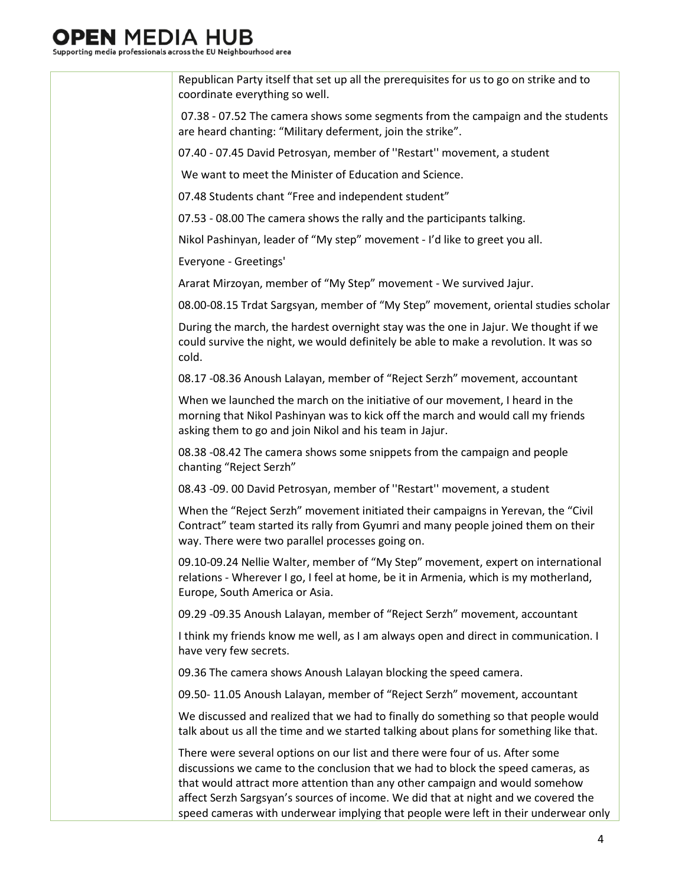### I MEDIA

Supporting media professionals across the EU Neighbourhood area

Republican Party itself that set up all the prerequisites for us to go on strike and to coordinate everything so well.

07.38 - 07.52 The camera shows some segments from the campaign and the students are heard chanting: "Military deferment, join the strike".

07.40 - 07.45 David Petrosyan, member of ''Restart'' movement, a student

We want to meet the Minister of Education and Science.

07.48 Students chant "Free and independent student"

07.53 - 08.00 The camera shows the rally and the participants talking.

Nikol Pashinyan, leader of "My step" movement - I'd like to greet you all.

Everyone - Greetings'

Ararat Mirzoyan, member of "My Step" movement - We survived Jajur.

08.00-08.15 Trdat Sargsyan, member of "My Step" movement, oriental studies scholar

During the march, the hardest overnight stay was the one in Jajur. We thought if we could survive the night, we would definitely be able to make a revolution. It was so cold.

08.17 -08.36 Anoush Lalayan, member of "Reject Serzh" movement, accountant

When we launched the march on the initiative of our movement, I heard in the morning that Nikol Pashinyan was to kick off the march and would call my friends asking them to go and join Nikol and his team in Jajur.

08.38 -08.42 The camera shows some snippets from the campaign and people chanting "Reject Serzh"

08.43 -09. 00 David Petrosyan, member of ''Restart'' movement, a student

When the "Reject Serzh" movement initiated their campaigns in Yerevan, the "Civil Contract" team started its rally from Gyumri and many people joined them on their way. There were two parallel processes going on.

09.10-09.24 Nellie Walter, member of "My Step" movement, expert on international relations - Wherever I go, I feel at home, be it in Armenia, which is my motherland, Europe, South America or Asia.

09.29 -09.35 Anoush Lalayan, member of "Reject Serzh" movement, accountant

I think my friends know me well, as I am always open and direct in communication. I have very few secrets.

09.36 The camera shows Anoush Lalayan blocking the speed camera.

09.50- 11.05 Anoush Lalayan, member of "Reject Serzh" movement, accountant

We discussed and realized that we had to finally do something so that people would talk about us all the time and we started talking about plans for something like that.

There were several options on our list and there were four of us. After some discussions we came to the conclusion that we had to block the speed cameras, as that would attract more attention than any other campaign and would somehow affect Serzh Sargsyan's sources of income. We did that at night and we covered the speed cameras with underwear implying that people were left in their underwear only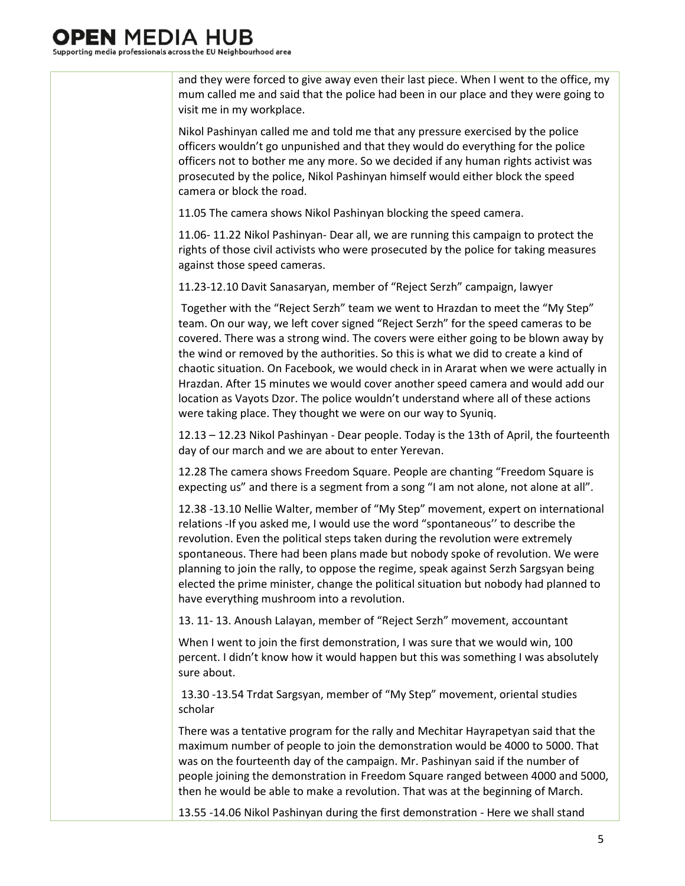### **MEDIA**

Supporting media professionals across the EU Neighbourhood area

and they were forced to give away even their last piece. When I went to the office, my mum called me and said that the police had been in our place and they were going to visit me in my workplace.

Nikol Pashinyan called me and told me that any pressure exercised by the police officers wouldn't go unpunished and that they would do everything for the police officers not to bother me any more. So we decided if any human rights activist was prosecuted by the police, Nikol Pashinyan himself would either block the speed camera or block the road.

11.05 The camera shows Nikol Pashinyan blocking the speed camera.

11.06- 11.22 Nikol Pashinyan- Dear all, we are running this campaign to protect the rights of those civil activists who were prosecuted by the police for taking measures against those speed cameras.

11.23-12.10 Davit Sanasaryan, member of "Reject Serzh" campaign, lawyer

Together with the "Reject Serzh" team we went to Hrazdan to meet the "My Step" team. On our way, we left cover signed "Reject Serzh" for the speed cameras to be covered. There was a strong wind. The covers were either going to be blown away by the wind or removed by the authorities. So this is what we did to create a kind of chaotic situation. On Facebook, we would check in in Ararat when we were actually in Hrazdan. After 15 minutes we would cover another speed camera and would add our location as Vayots Dzor. The police wouldn't understand where all of these actions were taking place. They thought we were on our way to Syuniq.

12.13 – 12.23 Nikol Pashinyan - Dear people. Today is the 13th of April, the fourteenth day of our march and we are about to enter Yerevan.

12.28 The camera shows Freedom Square. People are chanting "Freedom Square is expecting us" and there is a segment from a song "I am not alone, not alone at all".

12.38 -13.10 Nellie Walter, member of "My Step" movement, expert on international relations -If you asked me, I would use the word "spontaneous'' to describe the revolution. Even the political steps taken during the revolution were extremely spontaneous. There had been plans made but nobody spoke of revolution. We were planning to join the rally, to oppose the regime, speak against Serzh Sargsyan being elected the prime minister, change the political situation but nobody had planned to have everything mushroom into a revolution.

13. 11- 13. Anoush Lalayan, member of "Reject Serzh" movement, accountant

When I went to join the first demonstration, I was sure that we would win, 100 percent. I didn't know how it would happen but this was something I was absolutely sure about.

13.30 -13.54 Trdat Sargsyan, member of "My Step" movement, oriental studies scholar

There was a tentative program for the rally and Mechitar Hayrapetyan said that the maximum number of people to join the demonstration would be 4000 to 5000. That was on the fourteenth day of the campaign. Mr. Pashinyan said if the number of people joining the demonstration in Freedom Square ranged between 4000 and 5000, then he would be able to make a revolution. That was at the beginning of March.

13.55 -14.06 Nikol Pashinyan during the first demonstration - Here we shall stand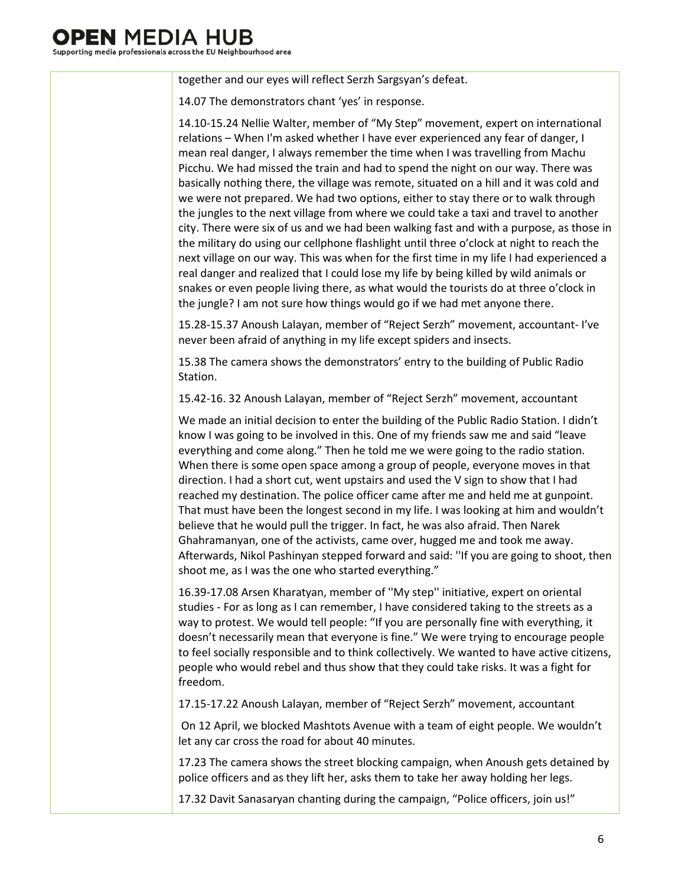### I MEDIA HI

Supporting media professionals across the EU Neighbourhood area

together and our eyes will reflect Serzh Sargsyan's defeat.

14.07 The demonstrators chant 'yes' in response.

14.10-15.24 Nellie Walter, member of "My Step" movement, expert on international relations – When I'm asked whether I have ever experienced any fear of danger, I mean real danger, I always remember the time when I was travelling from Machu Picchu. We had missed the train and had to spend the night on our way. There was basically nothing there, the village was remote, situated on a hill and it was cold and we were not prepared. We had two options, either to stay there or to walk through the jungles to the next village from where we could take a taxi and travel to another city. There were six of us and we had been walking fast and with a purpose, as those in the military do using our cellphone flashlight until three o'clock at night to reach the next village on our way. This was when for the first time in my life I had experienced a real danger and realized that I could lose my life by being killed by wild animals or snakes or even people living there, as what would the tourists do at three o'clock in the jungle? I am not sure how things would go if we had met anyone there.

15.28-15.37 Anoush Lalayan, member of "Reject Serzh" movement, accountant- I've never been afraid of anything in my life except spiders and insects.

15.38 The camera shows the demonstrators' entry to the building of Public Radio Station.

15.42-16. 32 Anoush Lalayan, member of "Reject Serzh" movement, accountant

We made an initial decision to enter the building of the Public Radio Station. I didn't know I was going to be involved in this. One of my friends saw me and said "leave everything and come along." Then he told me we were going to the radio station. When there is some open space among a group of people, everyone moves in that direction. I had a short cut, went upstairs and used the V sign to show that I had reached my destination. The police officer came after me and held me at gunpoint. That must have been the longest second in my life. I was looking at him and wouldn't believe that he would pull the trigger. In fact, he was also afraid. Then Narek Ghahramanyan, one of the activists, came over, hugged me and took me away. Afterwards, Nikol Pashinyan stepped forward and said: ''If you are going to shoot, then shoot me, as I was the one who started everything."

16.39-17.08 Arsen Kharatyan, member of ''My step'' initiative, expert on oriental studies - For as long as I can remember, I have considered taking to the streets as a way to protest. We would tell people: "If you are personally fine with everything, it doesn't necessarily mean that everyone is fine." We were trying to encourage people to feel socially responsible and to think collectively. We wanted to have active citizens, people who would rebel and thus show that they could take risks. It was a fight for freedom.

17.15-17.22 Anoush Lalayan, member of "Reject Serzh" movement, accountant

On 12 April, we blocked Mashtots Avenue with a team of eight people. We wouldn't let any car cross the road for about 40 minutes.

17.23 The camera shows the street blocking campaign, when Anoush gets detained by police officers and as they lift her, asks them to take her away holding her legs.

17.32 Davit Sanasaryan chanting during the campaign, "Police officers, join us!"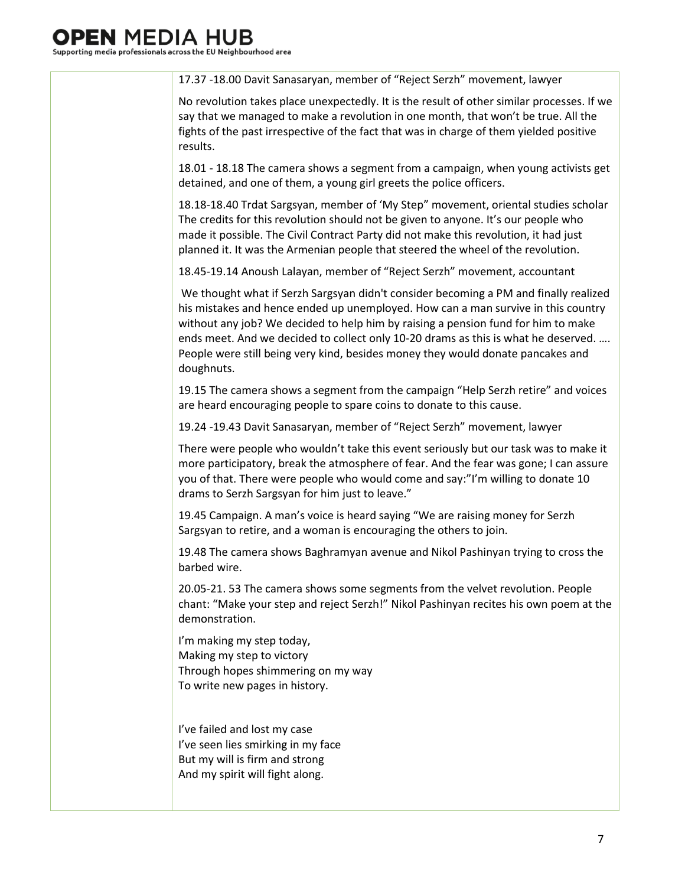### I MEDIA HI

Supporting media professionals across the EU Neighbourhood area

17.37 -18.00 Davit Sanasaryan, member of "Reject Serzh" movement, lawyer No revolution takes place unexpectedly. It is the result of other similar processes. If we say that we managed to make a revolution in one month, that won't be true. All the fights of the past irrespective of the fact that was in charge of them yielded positive results. 18.01 - 18.18 The camera shows a segment from a campaign, when young activists get detained, and one of them, a young girl greets the police officers. 18.18-18.40 Trdat Sargsyan, member of 'My Step" movement, oriental studies scholar The credits for this revolution should not be given to anyone. It's our people who made it possible. The Civil Contract Party did not make this revolution, it had just planned it. It was the Armenian people that steered the wheel of the revolution. 18.45-19.14 Anoush Lalayan, member of "Reject Serzh" movement, accountant We thought what if Serzh Sargsyan didn't consider becoming a PM and finally realized his mistakes and hence ended up unemployed. How can a man survive in this country without any job? We decided to help him by raising a pension fund for him to make ends meet. And we decided to collect only 10-20 drams as this is what he deserved. …. People were still being very kind, besides money they would donate pancakes and doughnuts. 19.15 The camera shows a segment from the campaign "Help Serzh retire" and voices are heard encouraging people to spare coins to donate to this cause. 19.24 -19.43 Davit Sanasaryan, member of "Reject Serzh" movement, lawyer There were people who wouldn't take this event seriously but our task was to make it more participatory, break the atmosphere of fear. And the fear was gone; I can assure you of that. There were people who would come and say:"I'm willing to donate 10 drams to Serzh Sargsyan for him just to leave." 19.45 Campaign. A man's voice is heard saying "We are raising money for Serzh Sargsyan to retire, and a woman is encouraging the others to join. 19.48 The camera shows Baghramyan avenue and Nikol Pashinyan trying to cross the barbed wire. 20.05-21. 53 The camera shows some segments from the velvet revolution. People chant: "Make your step and reject Serzh!" Nikol Pashinyan recites his own poem at the demonstration. I'm making my step today, Making my step to victory Through hopes shimmering on my way To write new pages in history. I've failed and lost my case I've seen lies smirking in my face But my will is firm and strong And my spirit will fight along.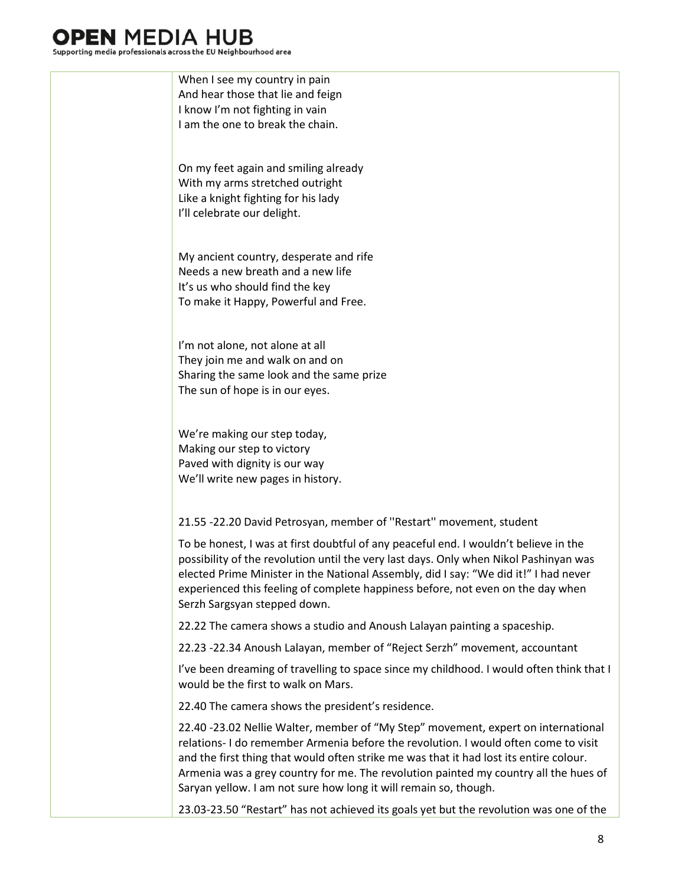### **J** MEDIA HI

Supporting media professionals across the EU Neighbourhood area



23.03-23.50 "Restart" has not achieved its goals yet but the revolution was one of the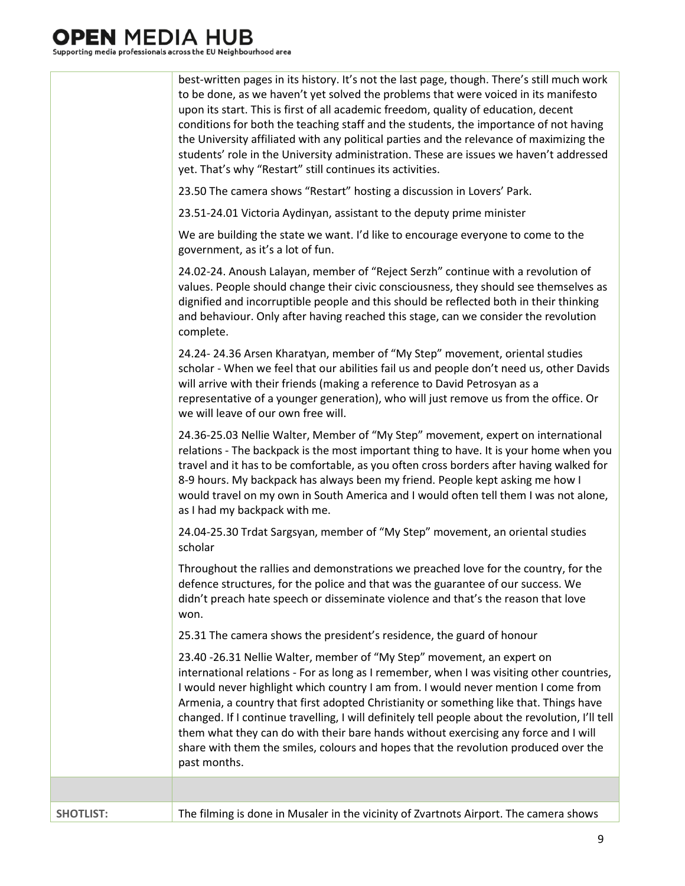|                  | best-written pages in its history. It's not the last page, though. There's still much work<br>to be done, as we haven't yet solved the problems that were voiced in its manifesto<br>upon its start. This is first of all academic freedom, quality of education, decent<br>conditions for both the teaching staff and the students, the importance of not having<br>the University affiliated with any political parties and the relevance of maximizing the<br>students' role in the University administration. These are issues we haven't addressed<br>yet. That's why "Restart" still continues its activities.                                  |
|------------------|-------------------------------------------------------------------------------------------------------------------------------------------------------------------------------------------------------------------------------------------------------------------------------------------------------------------------------------------------------------------------------------------------------------------------------------------------------------------------------------------------------------------------------------------------------------------------------------------------------------------------------------------------------|
|                  | 23.50 The camera shows "Restart" hosting a discussion in Lovers' Park.                                                                                                                                                                                                                                                                                                                                                                                                                                                                                                                                                                                |
|                  | 23.51-24.01 Victoria Aydinyan, assistant to the deputy prime minister                                                                                                                                                                                                                                                                                                                                                                                                                                                                                                                                                                                 |
|                  | We are building the state we want. I'd like to encourage everyone to come to the<br>government, as it's a lot of fun.                                                                                                                                                                                                                                                                                                                                                                                                                                                                                                                                 |
|                  | 24.02-24. Anoush Lalayan, member of "Reject Serzh" continue with a revolution of<br>values. People should change their civic consciousness, they should see themselves as<br>dignified and incorruptible people and this should be reflected both in their thinking<br>and behaviour. Only after having reached this stage, can we consider the revolution<br>complete.                                                                                                                                                                                                                                                                               |
|                  | 24.24-24.36 Arsen Kharatyan, member of "My Step" movement, oriental studies<br>scholar - When we feel that our abilities fail us and people don't need us, other Davids<br>will arrive with their friends (making a reference to David Petrosyan as a<br>representative of a younger generation), who will just remove us from the office. Or<br>we will leave of our own free will.                                                                                                                                                                                                                                                                  |
|                  | 24.36-25.03 Nellie Walter, Member of "My Step" movement, expert on international<br>relations - The backpack is the most important thing to have. It is your home when you<br>travel and it has to be comfortable, as you often cross borders after having walked for<br>8-9 hours. My backpack has always been my friend. People kept asking me how I<br>would travel on my own in South America and I would often tell them I was not alone,<br>as I had my backpack with me.                                                                                                                                                                       |
|                  | 24.04-25.30 Trdat Sargsyan, member of "My Step" movement, an oriental studies<br>scholar                                                                                                                                                                                                                                                                                                                                                                                                                                                                                                                                                              |
|                  | Throughout the rallies and demonstrations we preached love for the country, for the<br>defence structures, for the police and that was the guarantee of our success. We<br>didn't preach hate speech or disseminate violence and that's the reason that love<br>won.                                                                                                                                                                                                                                                                                                                                                                                  |
|                  | 25.31 The camera shows the president's residence, the guard of honour                                                                                                                                                                                                                                                                                                                                                                                                                                                                                                                                                                                 |
|                  | 23.40 -26.31 Nellie Walter, member of "My Step" movement, an expert on<br>international relations - For as long as I remember, when I was visiting other countries,<br>I would never highlight which country I am from. I would never mention I come from<br>Armenia, a country that first adopted Christianity or something like that. Things have<br>changed. If I continue travelling, I will definitely tell people about the revolution, I'll tell<br>them what they can do with their bare hands without exercising any force and I will<br>share with them the smiles, colours and hopes that the revolution produced over the<br>past months. |
|                  |                                                                                                                                                                                                                                                                                                                                                                                                                                                                                                                                                                                                                                                       |
| <b>SHOTLIST:</b> | The filming is done in Musaler in the vicinity of Zvartnots Airport. The camera shows                                                                                                                                                                                                                                                                                                                                                                                                                                                                                                                                                                 |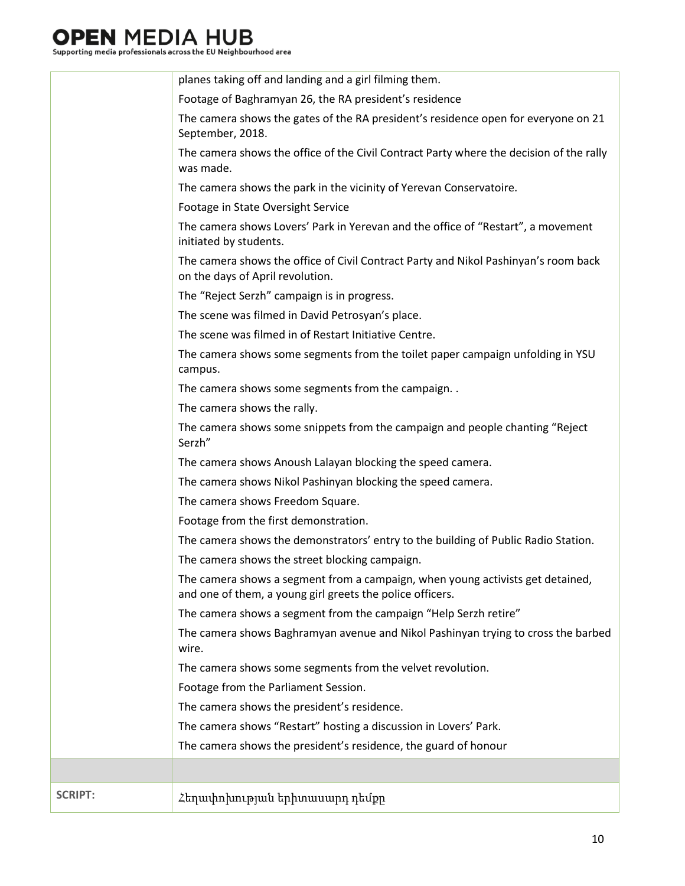# 

|                | planes taking off and landing and a girl filming them.                                                                                      |
|----------------|---------------------------------------------------------------------------------------------------------------------------------------------|
|                | Footage of Baghramyan 26, the RA president's residence                                                                                      |
|                | The camera shows the gates of the RA president's residence open for everyone on 21<br>September, 2018.                                      |
|                | The camera shows the office of the Civil Contract Party where the decision of the rally<br>was made.                                        |
|                | The camera shows the park in the vicinity of Yerevan Conservatoire.                                                                         |
|                | Footage in State Oversight Service                                                                                                          |
|                | The camera shows Lovers' Park in Yerevan and the office of "Restart", a movement<br>initiated by students.                                  |
|                | The camera shows the office of Civil Contract Party and Nikol Pashinyan's room back<br>on the days of April revolution.                     |
|                | The "Reject Serzh" campaign is in progress.                                                                                                 |
|                | The scene was filmed in David Petrosyan's place.                                                                                            |
|                | The scene was filmed in of Restart Initiative Centre.                                                                                       |
|                | The camera shows some segments from the toilet paper campaign unfolding in YSU<br>campus.                                                   |
|                | The camera shows some segments from the campaign                                                                                            |
|                | The camera shows the rally.                                                                                                                 |
|                | The camera shows some snippets from the campaign and people chanting "Reject<br>Serzh"                                                      |
|                | The camera shows Anoush Lalayan blocking the speed camera.                                                                                  |
|                | The camera shows Nikol Pashinyan blocking the speed camera.                                                                                 |
|                | The camera shows Freedom Square.                                                                                                            |
|                | Footage from the first demonstration.                                                                                                       |
|                | The camera shows the demonstrators' entry to the building of Public Radio Station.                                                          |
|                | The camera shows the street blocking campaign.                                                                                              |
|                | The camera shows a segment from a campaign, when young activists get detained,<br>and one of them, a young girl greets the police officers. |
|                | The camera shows a segment from the campaign "Help Serzh retire"                                                                            |
|                | The camera shows Baghramyan avenue and Nikol Pashinyan trying to cross the barbed<br>wire.                                                  |
|                | The camera shows some segments from the velvet revolution.                                                                                  |
|                | Footage from the Parliament Session.                                                                                                        |
|                | The camera shows the president's residence.                                                                                                 |
|                | The camera shows "Restart" hosting a discussion in Lovers' Park.                                                                            |
|                | The camera shows the president's residence, the guard of honour                                                                             |
|                |                                                                                                                                             |
| <b>SCRIPT:</b> | Հեղափոխության երիտասարդ դեմքը                                                                                                               |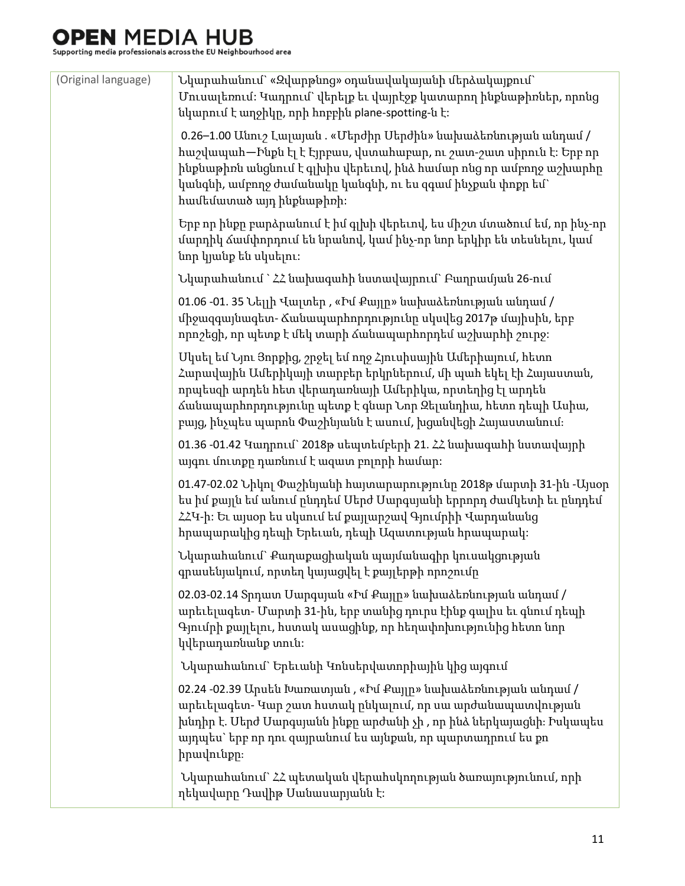| (Original language) | Նկարահանում` «Զվարթնոց» օդանավակայանի մերձակայքում`<br>Մուսալեռում։ Կադրում` վերելք եւ վայրէջք կատարող ինքնաթիռներ, որոնց<br>նկարում է աղջիկը, որի հոբբին plane-spotting-ն է:                                                                                                                                                 |
|---------------------|-------------------------------------------------------------------------------------------------------------------------------------------------------------------------------------------------------------------------------------------------------------------------------------------------------------------------------|
|                     | 0.26–1.00 Անուշ Լալայան . «Մերժիր Սերժին» նախաձեռնության անդամ /<br>hաշվապահ—Ինքն էլ է Էյրբաս, վստահաբար, ու շատ-շատ սիրուն է։ Երբ որ<br>ինքնաթիռն անցնում է գլխիս վերեւով, ինձ համար ոնց որ ամբողջ աշխարհը<br>կանգնի, ամբողջ ժամանակը կանգնի, ու ես զգամ ինչքան փոքր եմ`<br>համեմատած այդ ինքնաթիռի։                         |
|                     | Երբ որ ինքը բարձրանում է իմ գլխի վերեւով, ես միշտ մտածում եմ, որ ինչ-որ<br>մարդիկ ձամփորդում են նրանով, կամ ինչ-որ նոր երկիր են տեսնելու, կամ<br>նոր կյանք են սկսելու։                                                                                                                                                        |
|                     | Նկարահանում ` ՀՀ նախագահի նստավայրում` Բաղրամյան 26-ում                                                                                                                                                                                                                                                                       |
|                     | 01.06 -01. 35 Նելլի Վալտեր , «Իմ Քայլը» նախաձեռնության անդամ /<br>միջազգայնագետ- Ճանապարհորդությունը սկսվեց 2017թ մայիսին, երբ<br>որոշեցի, որ պետք է մեկ տարի ձանապարհորդեմ աշխարհի շուրջ:                                                                                                                                    |
|                     | Մկսել եմ Նյու Յորքից, շրջել եմ ողջ Հյուսիսային Ամերիայում, հետո<br>Հարավային Ամերիկայի տարբեր երկրներում, մի պահ եկել էի Հայաստան,<br>որպեսզի արդեն հետ վերադառնայի Ամերիկա, որտեղից էլ արդեն<br>ձանապարհորդությունը պետք է գնար Նոր Զելանդիա, հետո դեպի Ասիա,<br>բայց, ինչպես պարոն Փաշինյանն է ասում, խցանվեցի Հայաստանում։ |
|                     | 01.36 -01.42 Կադրում` 2018թ սեպտեմբերի 21. ՀՀ նախագահի նստավայրի<br>այգու մուտքը դառնում է ազատ բոլորի համար:                                                                                                                                                                                                                 |
|                     | 01.47-02.02 Նիկոլ Փաշինյանի հայտարարությունը 2018թ մարտի 31-ին -Այսօր<br>ես իմ քայլն եմ անում ընդդեմ Մերժ Մարգսյանի երրորդ ժամկետի եւ ընդդեմ<br>ՀՀԿ-ի։ Եւ այսօր ես սկսում եմ քայլարշավ Գյումրիի Վարդանանց<br>հրապարակից դեպի Երեւան, դեպի Ազատության հրապարակ։                                                                |
|                     | Նկարահանում` Քաղաքացիական պայմանագիր կուսակցության<br>գրասենյակում, որտեղ կայացվել է քայլերթի որոշումը                                                                                                                                                                                                                        |
|                     | 02.03-02.14 Տրդատ Սարգսյան «Իմ Քայլը» նախաձեռնության անդամ /<br>արեւելագետ- Մարտի 31-ին, երբ տանից դուրս էինք գալիս եւ գնում դեպի<br>Գյումրի քայլելու, հստակ ասացինք, որ հեղափոխությունից հետո նոր<br>կվերադառնանք տուն։                                                                                                      |
|                     | Նկարահանում` Երեւանի Կոնսերվատորիային կից այգում                                                                                                                                                                                                                                                                              |
|                     | 02.24 -02.39 Արսեն Խառատյան , «Իմ Քայլը» նախաձեռնության անդամ /<br>արեւելագետ- Կար շատ հստակ ընկալում, որ սա արժանապատվության<br>խնդիր է. Մերժ Մարգսյանն ինքը արժանի չի , որ ինձ ներկայացնի։ Իսկապես<br>այդպես` երբ որ դու զայրանում ես այնքան, որ պարտադրում ես քո<br>իրավունքը։                                             |
|                     | Նկարահանում` ՀՀ պետական վերահսկողության ծառայությունում, որի<br>ղեկավարը Դավիթ Սանասարյանն է։                                                                                                                                                                                                                                 |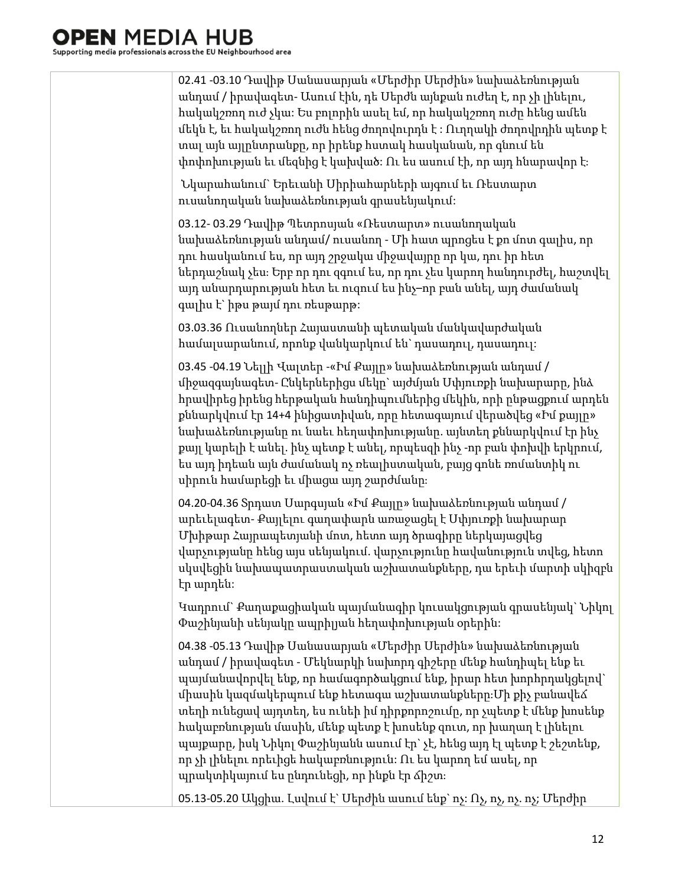02.41 -03.10 Դավիթ Սանասարյան «Մերժիր Սերժին» նախաձեռնության անդամ / իրավագետ- Ասում էին, դե Սերժն այնքան ուժեղ է, որ չի լինելու, հակակշռող ուժ չկա: Ես բոլորին ասել եմ, որ հակակշռող ուժը հենց ամեն մեկն է, եւ հակակշռող ուժն հենց ժողովուրդն է : Ուղղակի ժողովրդին պետք է տալ այն այլընտրանքը, որ իրենք հստակ հասկանան, որ գնում են փոփոխության եւ մեզնից է կախված: Ու ես ասում էի, որ այդ հնարավոր է։ Նկարահանում` Երեւանի Սիրիահարների այգում եւ Ռեստարտ ուսանողական նախաձեռնության գրասենյակում:

03.12- 03.29 Դավիթ Պետրոսյան «Ռեստարտ» ուսանողական նախաձեռնության անդամ/ ուսանող - Մի հատ պրոցես է քո մոտ գալիս, որ դու հասկանում ես, որ այդ շրջակա միջավայրը որ կա, դու իր հետ ներդաշնակ չես։ Երբ որ դու զգում ես, որ դու չես կարող հանդուրժել, հաշտվել այդ անարդարության հետ եւ ուզում ես ինչ–որ բան անել, այդ ժամանակ գալիս է` իթս թայմ դու ռեսթարթ:

03.03.36 Ուսանողներ Հայաստանի պետական մանկավարժական համալսարանում, որոնք վանկարկում են` դասադուլ, դասադուլ:

03.45 -04.19 Նելլի Վալտեր -«Իմ Քայլը» նախաձեռնության անդամ / միջազգայնագետ- Ընկերներիցս մեկը` այժմյան Սփյուռքի նախարարը, ինձ հրավիրեց իրենց հերթական հանդիպումներից մեկին, որի ընթացքում արդեն քննարկվում էր 14+4 ինիցատիվան, որը հետագայում վերածվեց «Իմ քայլը» նախաձեռնությանը ու նաեւ հեղափոխությանը. այնտեղ քննարկվում էր ինչ քայլ կարելի է անել. ինչ պետք է անել, որպեսզի ինչ -որ բան փոխվի երկրում, ես այդ իդեան այն ժամանակ ոչ ռեալիստական, բայց գոնե ռոմանտիկ ու սիրուն համարեցի եւ միացա այդ շարժմանը։

04.20-04.36 Տրդատ Սարգսյան «Իմ Քայլը» նախաձեռնության անդամ / արեւելագետ- Քայլելու գաղափարն առաջացել է Սփյուռքի նախարար Մխիթար Հայրապետյանի մոտ, հետո այդ ծրագիրը ներկայացվեց վարչությանը հենց այս սենյակում. վարչությունը հավանություն տվեց, հետո սկսվեցին նախապատրաստական աշխատանքները, դա երեւի մարտի սկիզբն էր արդեն:

Կադրում` Քաղաքացիական պայմանագիր կուսակցության գրասենյակ` Նիկոլ Փաշինյանի սենյակը ապրիլյան հեղափոխության օրերին:

04.38 -05.13 Դավիթ Սանասարյան «Մերժիր Սերժին» նախաձեռնության անդամ / իրավագետ - Մեկնարկի նախորդ գիշերը մենք հանդիպել ենք եւ պայմանավորվել ենք, որ համագործակցում ենք, իրար հետ խորհրդակցելով` միասին կազմակերպում ենք հետագա աշխատանքները։Մի քիչ բանավեճ տեղի ունեցավ այդտեղ, ես ունեի իմ դիրքորոշումը, որ չպետք է մենք խոսենք հակաբռնության մասին, մենք պետք է խոսենք զուտ, որ խաղաղ է լինելու պայքարը, իսկ Նիկոլ Փաշինյանն ասում էր` չէ, հենց այդ էլ պետք է շեշտենք, որ չի լինելու որեւիցե հակաբռնություն: Ու ես կարող եմ ասել, որ պրակտիկայում ես ընդունեցի, որ ինքն էր ճիշտ։

05.13-05.20 Ակցիա. Լսվում է` Սերժին ասում ենք` ոչ: Ոչ, ոչ, ոչ. ոչ; Մերժիր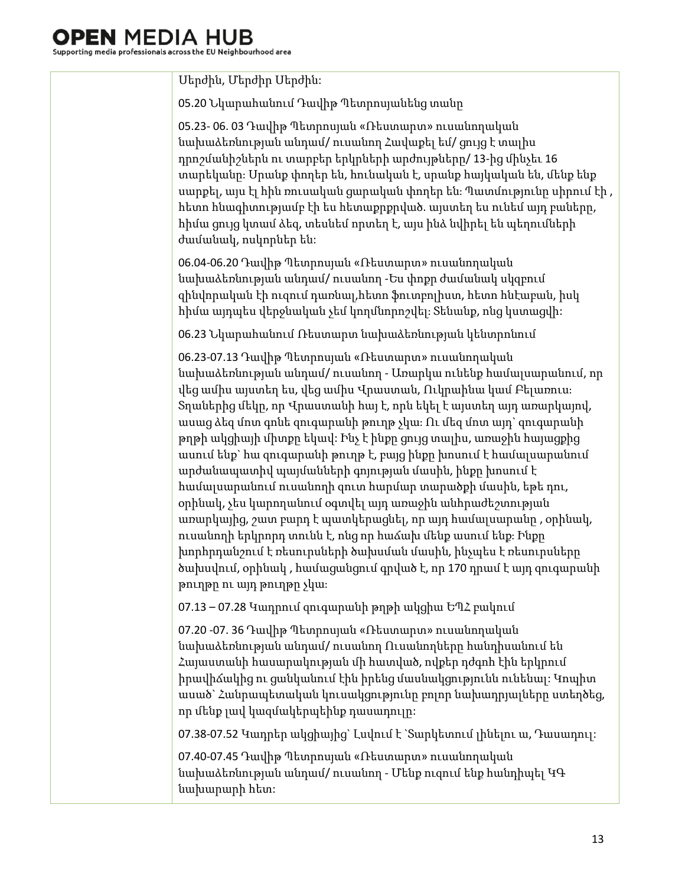Սերժին, Մերժիր Սերժին: 05.20 Նկարահանում Դավիթ Պետրոսյանենց տանը 05.23- 06. 03 Դավիթ Պետրոսյան «Ռեստարտ» ուսանողական նախաձեռնության անդամ/ ուսանող Հավաքել եմ/ ցույց է տալիս դրոշմանիշներն ու տարբեր երկրների արժույթները/ 13-ից մինչեւ 16 տարեկանը։ Սրանք փողեր են, հունական է, սրանք հայկական են, մենք ենք սարքել, այս էլ հին ռուսական ցարական փողեր են։ Պատմությունը սիրում էի , հետո հնագիտությամբ էի ես հետաքրքրված. այստեղ ես ունեմ այդ բաները, հիմա ցույց կտամ ձեզ, տեսնեմ որտեղ է, այս ինձ նվիրել են պեղումների ժամանակ, ոսկորներ են: 06.04-06.20 Դավիթ Պետրոսյան «Ռեստարտ» ուսանողական նախաձեռնության անդամ/ ուսանող -Ես փոքր ժամանակ սկզբում զինվորական էի ուզում դառնալ,հետո ֆուտբոլիստ, հետո հնէաբան, իսկ հիմա այդպես վերջնական չեմ կողմնորոշվել։ Տենանք, ոնց կստացվի: 06.23 Նկարահանում Ռեստարտ նախաձեռնության կենտրոնում 06.23-07.13 Դավիթ Պետրոսյան «Ռեստարտ» ուսանողական նախաձեռնության անդամ/ ուսանող - Առարկա ունենք համալսարանում, որ վեց ամիս այստեղ ես, վեց ամիս Վրաստան, Ուկրաինա կամ Բելառուս։ Տղաներից մեկը, որ Վրաստանի հայ է, որն եկել է այստեղ այդ առարկայով, ասաց ձեզ մոտ գոնե զուգարանի թուղթ չկա։ Ու մեզ մոտ այդ` զուգարանի թղթի ակցիայի միտքը եկավ: Ինչ է ինքը ցույց տալիս, առաջին հայացքից ասում ենք` հա զուգարանի թուղթ է, բայց ինքը խոսում է համալսարանում արժանապատիվ պայմանների գոյության մասին, ինքը խոսում է համալսարանում ուսանողի զուտ հարմար տարածքի մասին, եթե դու, օրինակ, չես կարողանում օգտվել այդ առաջին անհրաժեշտության առարկայից, շատ բարդ է պատկերացնել, որ այդ համալսարանը , օրինակ, ուսանողի երկրորդ տունն է, ոնց որ հաճախ մենք ասում ենք։ Ինքը խորհրդանշում է ռեսուրսների ծախսման մասին, ինչպես է ռեսուրսները ծախսվում, օրինակ , համացանցում գրված է, որ 170 դրամ է այդ զուգարանի թուղթը ու այդ թուղթը չկա։ 07.13 – 07.28 Կադրում զուգարանի թղթի ակցիա ԵՊՀ բակում 07.20 -07. 36 Դավիթ Պետրոսյան «Ռեստարտ» ուսանողական նախաձեռնության անդամ/ ուսանող Ուսանողները հանդիսանում են Հայաստանի հասարակության մի հատված, ովքեր դժգոհ էին երկրում իրավիճակից ու ցանկանում էին իրենց մասնակցությունն ունենալ: Կոպիտ ասած` Հանրապետական կուսակցությունը բոլոր նախադրյալները ստեղծեց, որ մենք լավ կազմակերպեինք դասադուլը: 07.38-07.52 Կադրեր ակցիայից` Լսվում է `Տարկետում լինելու ա, Դասադուլ: 07.40-07.45 Դավիթ Պետրոսյան «Ռեստարտ» ուսանողական նախաձեռնության անդամ/ ուսանող - Մենք ուզում ենք հանդիպել ԿԳ նախարարի հետ: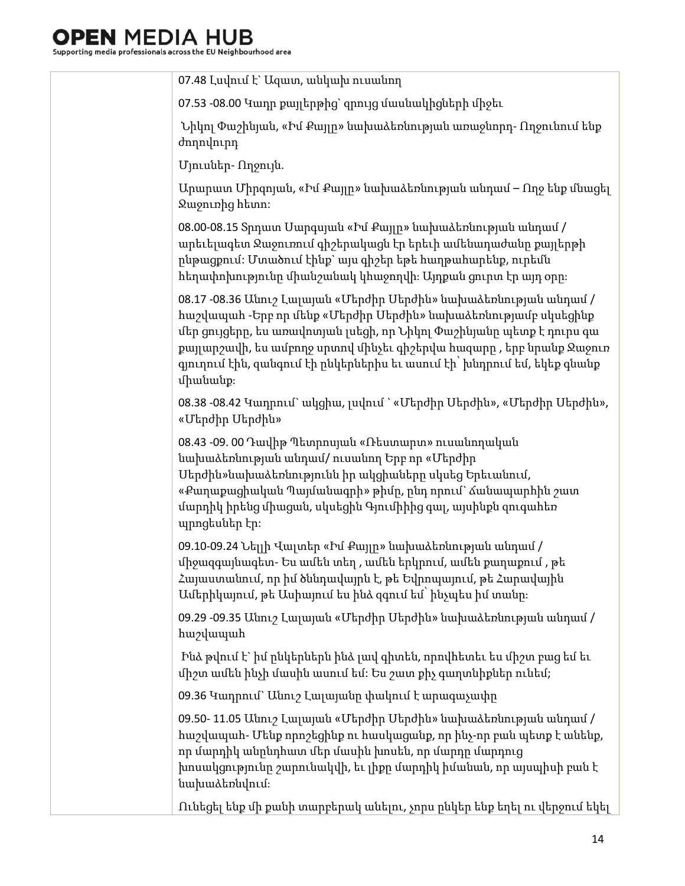| 07.48 Լսվում է` Ազատ, անկախ ուսանող                                                                                                                                                                                                                                                                                                                                        |
|----------------------------------------------------------------------------------------------------------------------------------------------------------------------------------------------------------------------------------------------------------------------------------------------------------------------------------------------------------------------------|
| 07.53 -08.00 Կադր քայլերթից՝ զրույց մասնակիցների միջեւ                                                                                                                                                                                                                                                                                                                     |
| Նիկոլ Փաշինյան, «Իմ Քայլը» նախաձեռնության առաջնորդ- Ողջունում ենք<br>ժողովուրդ                                                                                                                                                                                                                                                                                             |
| Մյուսներ- Ողջույն.                                                                                                                                                                                                                                                                                                                                                         |
| Արարատ Միրզոյան, «Իմ Քայլը» նախաձեռնության անդամ – Ողջ ենք մնացել<br><b>Quioning</b> htinn:                                                                                                                                                                                                                                                                                |
| 08.00-08.15 Տրդատ Սարգսյան «Իմ Քայլը» նախաձեռնության անդամ /<br>արեւելագետ Ջաջուռում գիշերակացն էր երեւի ամենադաժանը քայլերթի<br>րնթացքում։ Մտածում էինք՝ այս գիշեր եթե հաղթահարենք, ուրեմն<br>հեղափոխությունը միանշանակ կհաջողվի։ Այդքան ցուրտ էր այդ օրը։                                                                                                                |
| 08.17 -08.36 Անուշ Լայայան «Մերժիր Մերժին» նախաձեռնության անդամ /<br>hաշվապահ -Երբ որ մենք «Մերժիր Մերժին» նախաձեռնությամբ սկսեցինք<br>մեր ցույցերը, ես առավոտյան լսեցի, որ Նիկոլ Փաշինյանը պետք է դուրս գա<br>քայլարշավի, ես ամբողջ սրտով մինչեւ գիշերվա հազարը , երբ նրանք Ջաջուռ<br>գյուղում էին, զանգում էի ընկերներիս եւ ասում էի` խնդրում եմ, եկեք գնանք<br>միանանք։ |
| 08.38 -08.42 Կադրում` ակցիա, լսվում ` «Մերժիր Սերժին», «Մերժիր Սերժին»,<br>«Մերժիր Սերժին»                                                                                                                                                                                                                                                                                 |
| 08.43 -09. 00 Դավիթ Պետրոսյան «Ռեստարտ» ուսանողական<br>նախաձեռնության անդամ/ ուսանող Երբ որ «Մերժիր<br>Uերժին»նախաձեռնությունն իր ակցիաները սկսեց Երեւանում,<br>«Քաղաքացիական Պայմանագրի» թիմը, ընդ որում` ձանապարհին շատ<br>մարդիկ իրենց միացան, սկսեցին Գյումիիից գալ, այսինքն զուգահեռ<br>պրոցեսներ էր։                                                                 |
| 09.10-09.24 Նելլի Վալտեր «Իմ Քայլը» նախաձեռնության անդամ /<br>միջազգայնագետ- Ես ամեն տեղ , ամեն երկրում, ամեն քաղաքում , թե<br>Հայաստանում, որ իմ ծննդավայրն է, թե Եվրոպայում, թե Հարավային<br>Ամերիկայում, թե Ասիայում ես ինձ զգում եմ՝ ինչպես իմ տանը։                                                                                                                   |
| 09.29 -09.35 Անուշ Լալայան «Մերժիր Սերժին» նախաձեռնության անդամ /<br>hwyywwuh                                                                                                                                                                                                                                                                                              |
| Ինձ թվում է` իմ ընկերներն ինձ լավ գիտեն, որովհետեւ ես միշտ բաց եմ եւ<br>միշտ ամեն ինչի մասին ասում եմ։ Ես շատ քիչ գաղտնիքներ ունեմ;                                                                                                                                                                                                                                        |
| 09.36 Կադրում` Անուշ Լալայանը փակում է արագաչափը                                                                                                                                                                                                                                                                                                                           |
| 09.50- 11.05 Անուշ Լալայան «Մերժիր Սերժին» նախաձեռնության անդամ /<br>հաշվապահ- Մենք որոշեցինք ու հասկացանք, որ ինչ-որ բան պետք է անենք,<br>որ մարդիկ անընդհատ մեր մասին խոսեն, որ մարդը մարդուց<br>խոսակցությունը շարունակվի, եւ լիքը մարդիկ իմանան, որ այսպիսի բան է<br>նախաձեռնվում։                                                                                     |
| Ունեցել ենք մի քանի տարբերակ անելու, չորս ընկեր ենք եղել ու վերջում եկել                                                                                                                                                                                                                                                                                                   |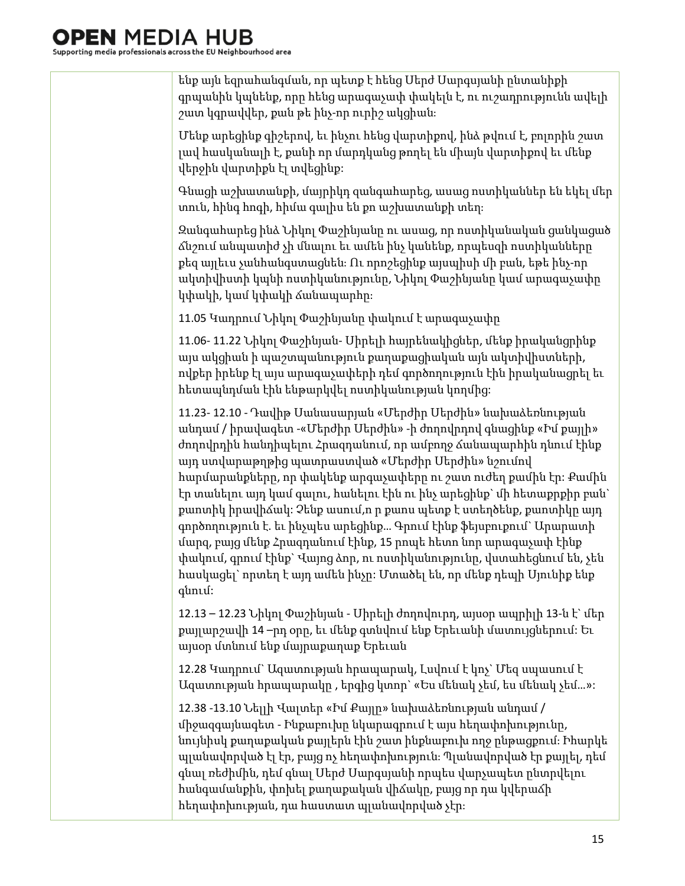ենք այն եզրահանգման, որ պետք է հենց Սերժ Սարգսյանի ընտանիքի գրպանին կպնենք, որը հենց արագաչափ փակելն է, ու ուշադրությունն ավելի շատ կգրավվեր, քան թե ինչ-որ ուրիշ ակցիան։

Մենք արեցինք գիշերով, եւ ինչու հենց վարտիքով, ինձ թվում է, բոլորին շատ լավ հասկանալի է, քանի որ մարդկանց թողել են միայն վարտիքով եւ մենք վերջին վարտիքն էլ տվեցինք:

Գնացի աշխատանքի, մայրիկդ զանգահարեց, ասաց ոստիկաններ են եկել մեր տուն, հինգ հոգի, հիմա գալիս են քո աշխատանքի տեղ։

Զանգահարեց ինձ Նիկոլ Փաշինյանը ու ասաց, որ ոստիկանական ցանկացած ճնշում անպատիժ չի մնալու եւ ամեն ինչ կանենք, որպեսզի ոստիկանները քեզ այլեւս չանհանգստացնեն։ Ու որոշեցինք այսպիսի մի բան, եթե ինչ-որ ակտիվիստի կպնի ոստիկանությունը, Նիկոլ Փաշինյանը կամ արագաչափը կփակի, կամ կփակի ճանապարհը։

11.05 Կադրում Նիկոլ Փաշինյանը փակում է արագաչափը

11.06- 11.22 Նիկոլ Փաշինյան- Սիրելի հայրենակիցներ, մենք իրականցրինք այս ակցիան ի պաշտպանություն քաղաքացիական այն ակտիվիստների, ովքեր իրենք էլ այս արագաչափերի դեմ գործողություն էին իրականացրել եւ հետապնդման էին ենթարկվել ոստիկանության կողմից:

11.23- 12.10 - Դավիթ Սանասարյան «Մերժիր Սերժին» նախաձեռնության անդամ / իրավագետ -«Մերժիր Սերժին» -ի ժողովրդով գնացինք «Իմ քայլի» ժողովրդին հանդիպելու Հրազդանում, որ ամբողջ ճանապարհին դնում էինք այդ ստվարաթղթից պատրաստված «Մերժիր Սերժին» նշումով հարմարանքները, որ փակենք արգաչափերը ու շատ ուժեղ քամին էր: Քամին էր տանելու այդ կամ գալու, հանելու էին ու ինչ արեցինք` մի հետաքրքիր բան` քաոտիկ իրավիճակ: Չենք ասում,ո ր քաոս պետք է ստեղծենք, քաոտիկը այդ գործողություն է. եւ ինչպես արեցինք… Գրում էինք ֆեյսբուքում` Արարատի մարզ, բայց մենք Հրազդանում էինք, 15 րոպե հետո նոր արագաչափ էինք փակում, գրում էինք` Վայոց ձոր, ու ոստիկանությունը, վստահեցնում են, չեն հասկացել` որտեղ է այդ ամեն ինչը: Մտածել են, որ մենք դեպի Սյունիք ենք գնում:

12.13 – 12.23 Նիկոլ Փաշինյան - Սիրելի ժողովուրդ, այսօր ապրիլի 13-ն է` մեր քայլարշավի 14 –րդ օրը, եւ մենք գտնվում ենք Երեւանի մատույցներում: Եւ այսօր մտնում ենք մայրաքաղաք Երեւան

12.28 Կադրում` Ազատության հրապարակ, Լսվում է կոչ` Մեզ սպասում է Ազատության հրապարակը , երգից կտոր` «Ես մենակ չեմ, ես մենակ չեմ…»:

12.38 -13.10 Նելլի Վալտեր «Իմ Քայլը» նախաձեռնության անդամ / միջազգայնագետ - Ինքաբուխը նկարագրում է այս հեղափոխությունը, նույնիսկ քաղաքական քայլերն էին շատ ինքնաբուխ ողջ ընթացքում։ Իհարկե պլանավորված էլ էր, բայց ոչ հեղափոխություն։ Պլանավորված էր քայլել, դեմ գնալ ռեժիմին, դեմ գնալ Սերժ Սարգսյանի որպես վարչապետ ընտրվելու հանգամանքին, փոխել քաղաքական վիճակը, բայց որ դա կվերաճի հեղափոխության, դա հաստատ պլանավորված չէր։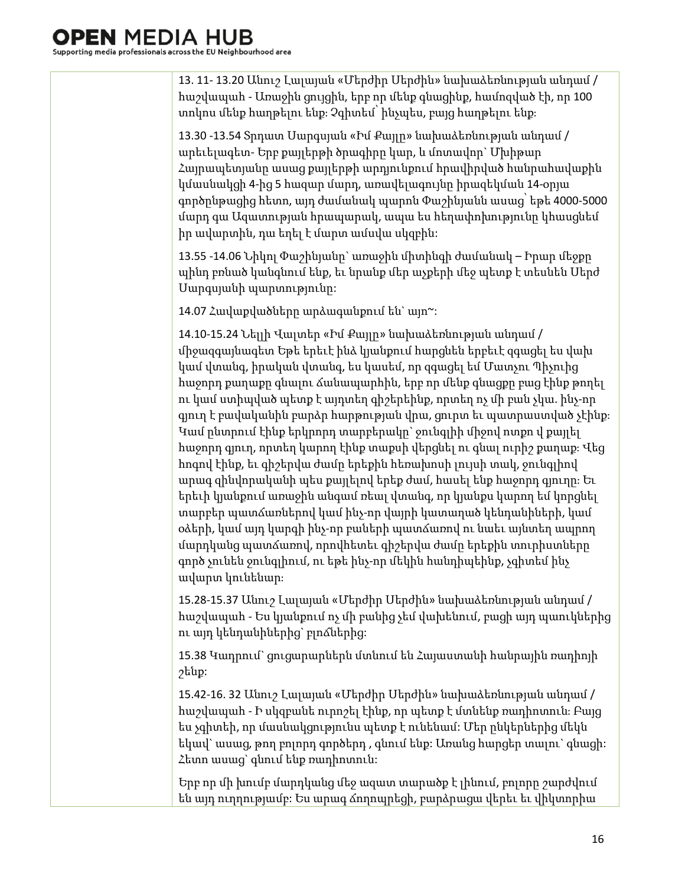13. 11- 13.20 Անուշ Լալայան «Մերժիր Սերժին» նախաձեռնության անդամ / հաշվապահ - Առաջին ցույցին, երբ որ մենք գնացինք, համոզված էի, որ 100 տոկոս մենք հաղթելու ենք։ Չգիտեմ՝ ինչպես, բայց հաղթելու ենք։

13.30 -13.54 Տրդատ Սարգսյան «Իմ Քայլը» նախաձեռնության անդամ / արեւելագետ- Երբ քայլերթի ծրագիրը կար, և մոտավոր` Մխիթար Հայրապետյանը ասաց քայլերթի արդյունքում հրավիրված հանրահավաքին կմասնակցի 4-ից 5 հազար մարդ, առավելագույնը իրազեկման 14-օրյա գործընթացից հետո, այդ ժամանակ պարոն Փաշինյանն ասաց՝ եթե 4000-5000 մարդ գա Ազատության հրապարակ, ապա ես հեղափոխությունը կհասցնեմ իր ավարտին, դա եղել է մարտ ամսվա սկզբին:

13.55 -14.06 Նիկոլ Փաշինյանը` առաջին միտինգի ժամանակ – Իրար մեջքը պինդ բռնած կանգնում ենք, եւ նրանք մեր աչքերի մեջ պետք է տեսնեն Սերժ Սարգսյանի պարտությունը:

14.07 Հավաքվածները արձագանքում են` այո~:

14.10-15.24 Նելլի Վալտեր «Իմ Քայլը» նախաձեռնության անդամ / միջազգայնագետ Եթե երեւէ ինձ կյանքում հարցնեն երբեւէ զգացել ես վախ կամ վտանգ, իրական վտանգ, ես կասեմ, որ զգացել եմ Մատչու Պիչուից հաջորդ քաղաքը գնալու ճանապարհին, երբ որ մենք գնացքը բաց էինք թողել ու կամ ստիպված պետք է այդտեղ գիշերեինք, որտեղ ոչ մի բան չկա. ինչ-որ գյուղ է բավականին բարձր հարթության վրա, ցուրտ եւ պատրաստված չէինք։ Կամ ընտրում էինք երկրորդ տարբերակը` ջունգլիի միջով ոտքո վ քայլել հաջորդ գյուղ, որտեղ կարող էինք տաքսի վերցնել ու գնալ ուրիշ քաղաք։ Վեց հոգով էինք, եւ գիշերվա ժամը երեքին հեռախոսի լույսի տակ, ջունգլիով արագ զինվորականի պես քայլելով երեք ժամ, հասել ենք հաջորդ գյուղը։ Եւ երեւի կյանքում առաջին անգամ ռեալ վտանգ, որ կյանքս կարող եմ կորցնել տարբեր պատճառներով կամ ինչ-որ վայրի կատաղած կենդանիների, կամ օձերի, կամ այդ կարգի ինչ-որ բաների պատճառով ու նաեւ այնտեղ ապրող մարդկանց պատճառով, որովհետեւ գիշերվա ժամը երեքին տուրիստները գործ չունեն ջունգլիում, ու եթե ինչ-որ մեկին հանդիպեինք, չգիտեմ ինչ ավարտ կունենար։

15.28-15.37 Անուշ Լալայան «Մերժիր Սերժին» նախաձեռնության անդամ / հաշվապահ - Ես կյանքում ոչ մի բանից չեմ վախենում, բացի այդ պաուկներից ու այդ կենդանիներից` բլոճներից:

15.38 Կադրում` ցուցարարներն մտնում են Հայաստանի հանրային ռադիոյի շենք:

15.42-16. 32 Անուշ Լալայան «Մերժիր Սերժին» նախաձեռնության անդամ / հաշվապահ - Ի սկզբանե ուրոշել էինք, որ պետք է մտնենք ռադիոտուն։ Բայց ես չգիտեի, որ մասնակցությունս պետք է ունենամ: Մեր ընկերներից մեկն եկավ` ասաց, թող բոլորդ գործերդ , գնում ենք: Առանց հարցեր տալու` գնացի: Հետո ասաց` գնում ենք ռադիոտուն:

Երբ որ մի խումբ մարդկանց մեջ ազատ տարածք է լինում, բոլորը շարժվում են այդ ուղղությամբ: Ես արագ ճողոպրեցի, բարձրացա վերեւ եւ վիկտորիա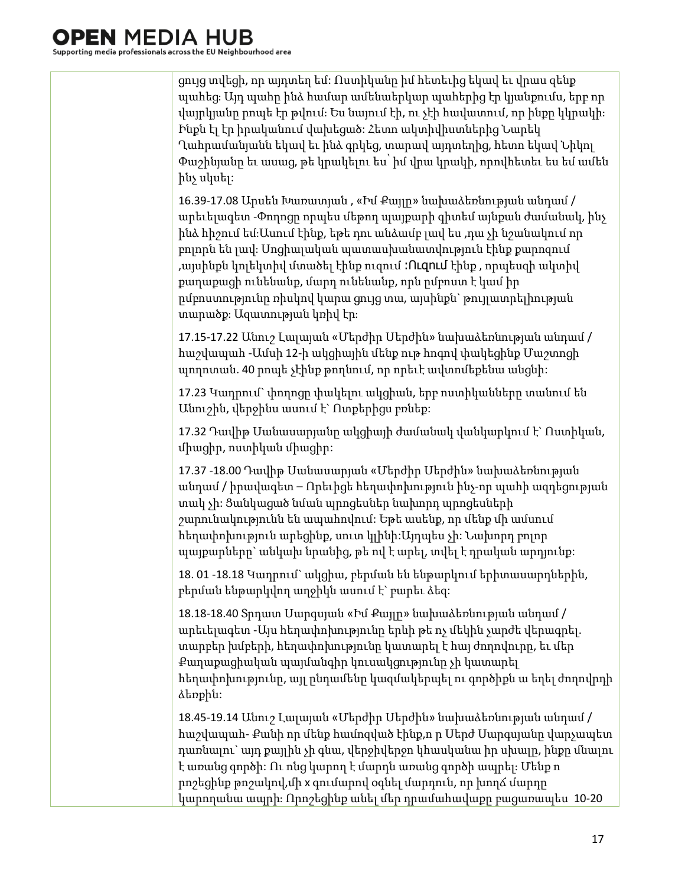ցույց տվեցի, որ այդտեղ եմ: Ոստիկանը իմ հետեւից եկավ եւ վրաս զենք պահեց։ Այդ պահը ինձ համար ամենաերկար պահերից էր կյանքումս, երբ որ վայրկյանը րոպե էր թվում։ Ես նայում էի, ու չէի հավատում, որ ինքը կկրակի։ Ինքն էլ էր իրականում վախեցած: Հետո ակտիվիստներից Նարեկ Ղահրամանյանն եկավ եւ ինձ գրկեց, տարավ այդտեղից, հետո եկավ Նիկոլ Փաշինյանը եւ ասաց, թե կրակելու ես՝ իմ վրա կրակի, որովհետեւ ես եմ ամեն ինչ սկսել:

16.39-17.08 Արսեն Խառատյան , «Իմ Քայլը» նախաձեռնության անդամ / արեւելագետ -Փողոցը որպես մեթոդ պայքարի գիտեմ այնքան ժամանակ, ինչ ինձ հիշում եմ։Ասում էինք, եթե դու անձամբ լավ ես ,դա չի նշանակում որ բոլորն են լավ։ Սոցիալական պատասխանատվություն էինք քարոզում ,այսինքն կոլեկտիվ մտածել էինք ուզում ։Ուզում էինք , որպեսզի ակտիվ քաղաքացի ունենանք, մարդ ունենանք, որն ըմբոստ է կամ իր ըմբոստությունը ռիսկով կարա ցույց տա, այսինքն` թույլատրելիության տարածք։ Ազատության կռիվ էր։

17.15-17.22 Անուշ Լալայան «Մերժիր Սերժին» նախաձեռնության անդամ / հաշվապահ -Ամսի 12-ի ակցիային մենք ութ հոգով փակեցինք Մաշտոցի պողոտան. 40 րոպե չէինք թողնում, որ որեւէ ավտոմեքենա անցնի:

17.23 Կադրում` փողոցը փակելու ակցիան, երբ ոստիկանները տանում են Անուշին, վերջինս ասում է` Ոտքերիցս բռնեք:

17.32 Դավիթ Սանասարյանը ակցիայի ժամանակ վանկարկում է` Ոստիկան, միացիր, ոստիկան միացիր:

17.37 -18.00 Դավիթ Սանասարյան «Մերժիր Սերժին» նախաձեռնության անդամ / իրավագետ – Որեւիցե հեղափոխություն ինչ-որ պահի ազդեցության տակ չի: Ցանկացած նման պրոցեսներ նախորդ պրոցեսների շարունակությունն են ապահովում: Եթե ասենք, որ մենք մի ամսում հեղափոխություն արեցինք, սուտ կլինի:Այդպես չի: Նախորդ բոլոր պայքարները` անկախ նրանից, թե ով է արել, տվել է դրական արդյունք:

18. 01 -18.18 Կադրում` ակցիա, բերման են ենթարկում երիտասարդներին, բերման ենթարկվող աղջիկն ասում է` բարեւ ձեզ:

18.18-18.40 Տրդատ Սարգսյան «Իմ Քայլը» նախաձեռնության անդամ / արեւելագետ -Այս հեղափոխությունը երևի թե ոչ մեկին չարժե վերագրել. տարբեր խմբերի, հեղափոխությունը կատարել է հայ ժողովուրը, եւ մեր Քաղաքացիական պայմանգիր կուսակցությունը չի կատարել հեղափոխությունը, այլ ընդամենը կազմակերպել ու գործիքն ա եղել ժողովրդի ձեռքին:

18.45-19.14 Անուշ Լալայան «Մերժիր Սերժին» նախաձեռնության անդամ / հաշվապահ- Քանի որ մենք համոզված էինք,ո ր Սերժ Սարգսյանը վարչապետ դառնալու` այդ քայլին չի գնա, վերջիվերջո կհասկանա իր սխալը, ինքը մնալու է առանց գործի: Ու ոնց կարող է մարդն առանց գործի ապրել։ Մենք ո րոշեցինք թոշակով,մի x գումարով օգնել մարդուն, որ խողճ մարդը կարողանա ապրի։ Որոշեցինք անել մեր դրամահավաքը բացառապես 10-20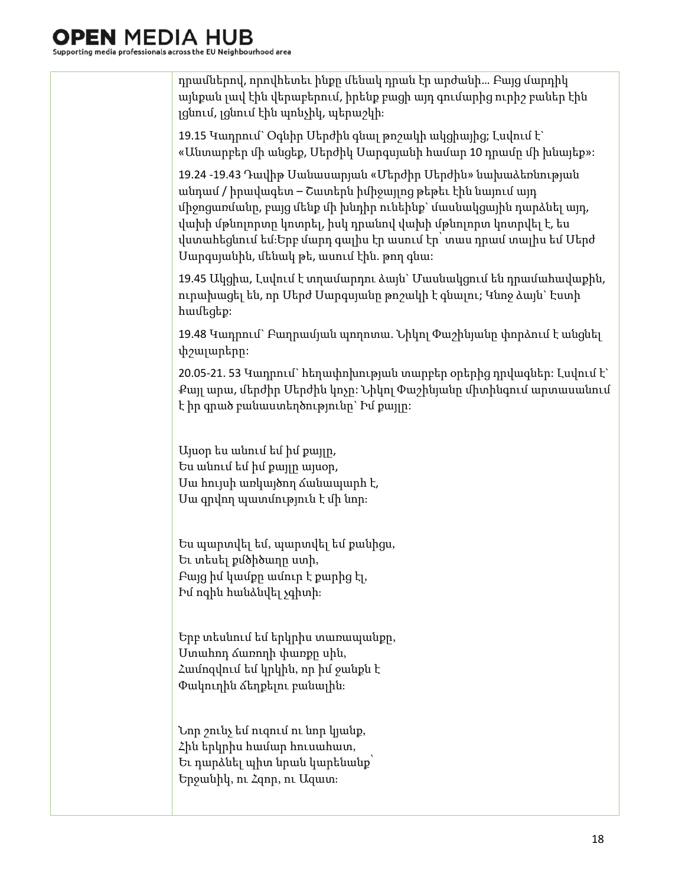| դրամներով, որովհետեւ ինքը մենակ դրան էր արժանի Բայց մարդիկ<br>այնքան լավ էին վերաբերում, իրենք բացի այդ գումարից ուրիշ բաներ էին<br>լցնում, լցնում էին պոնչիկ, պերաշկի։                                                                                                                                                                                                          |
|----------------------------------------------------------------------------------------------------------------------------------------------------------------------------------------------------------------------------------------------------------------------------------------------------------------------------------------------------------------------------------|
| 19.15 Կադրում` Օգնիր Մերժին գնալ թոշակի ակցիայից; Լսվում է`<br>«Անտարբեր մի անցեք, Մերժիկ Մարգսյանի համար 10 դրամը մի խնայեք»:                                                                                                                                                                                                                                                   |
| 19.24 -19.43 Դավիթ Սանասարյան «Մերժիր Սերժին» նախաձեռնության<br>անդամ / իրավագետ – Շատերն իմիջայլոց թեթեւ էին նայում այդ<br>միջոցառմանը, բայց մենք մի խնդիր ունեինք` մասնակցային դարձնել այդ,<br>վախի մթնոլորտը կոտրել, իսկ դրանով վախի մթնոլորտ կոտրվել է, ես<br>վստահեցնում եմ։Երբ մարդ գալիս էր ասում էր՝ տաս դրամ տալիս եմ Մերժ<br>Մարգսյանին, մենակ թե, ասում էին. թող գնա։ |
| 19.45 Ակցիա, Լսվում է տղամարդու ձայն` Մասնակցում են դրամահավաքին,<br>ուրախացել են, որ Մերժ Մարգսյանը թոշակի է գնալու; Կնոջ ձայն` Էստի<br>hամեցեք:                                                                                                                                                                                                                                |
| 19.48 Կադրում` Բաղրամյան պողոտա. Նիկոլ Փաշինյանը փորձում է անցնել<br>փշալարերը։                                                                                                                                                                                                                                                                                                  |
| 20.05-21. 53 Կադրում` հեղափոխության տարբեր օրերից դրվագներ։ Լսվում է`<br>Քայլ արա, մերժիր Մերժին կոչը։ Նիկոլ Փաշինյանը միտինգում արտասանում<br>է իր գրած բանաստեղծությունը` Իմ քայլը։                                                                                                                                                                                            |
| Այսօր ես անում եմ իմ քայլը,<br>Ես անում եմ իմ քայլը այսօր,<br>Մա հույսի առկայծող ձանապարհ է,<br>Մա գրվող պատմություն է մի նոր։                                                                                                                                                                                                                                                   |
| Ես պարտվել եմ, պարտվել եմ քանիցս,<br>Եւ տեսել քմծիծաղը ստի,<br>Բայց իմ կամքը ամուր է քարից էլ,<br>Իմ ոգին հանձնվել չգիտի։                                                                                                                                                                                                                                                        |
| Երբ տեսնում եմ երկրիս տառապանքը,<br>Ստահոդ ձառողի փառքը սին,<br>Համոզվում եմ կրկին, որ իմ ջանքն է<br>Փակուղին ձեղքելու բանալին։                                                                                                                                                                                                                                                  |
| Նոր շունչ եմ ուզում ու նոր կյանք,<br>Հին երկրիս համար հուսահատ,<br>Եւ դարձնել պիտ նրան կարենանք՝<br>Երջանիկ, ու Հզոր, ու Ազատ։                                                                                                                                                                                                                                                   |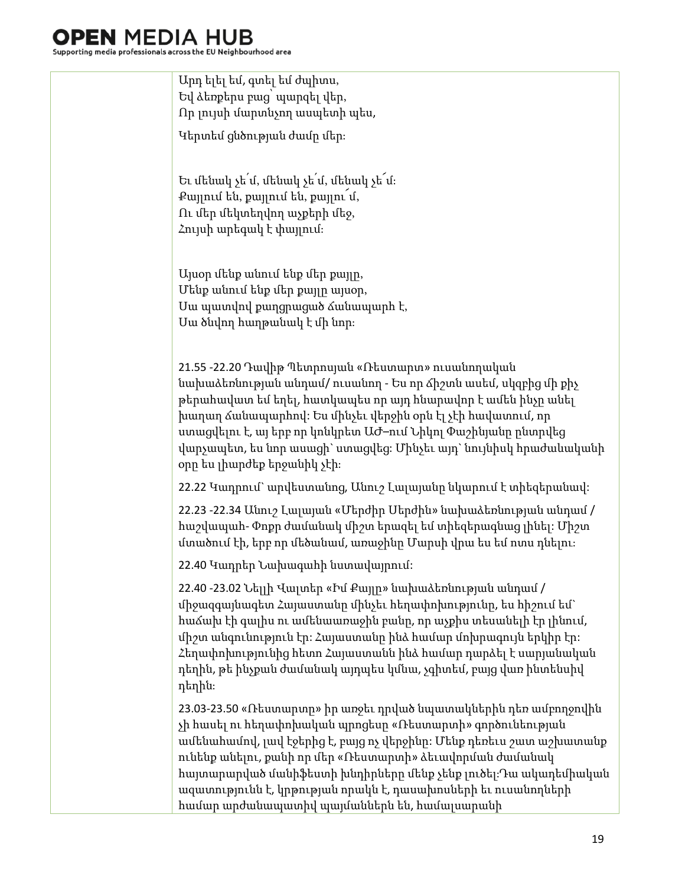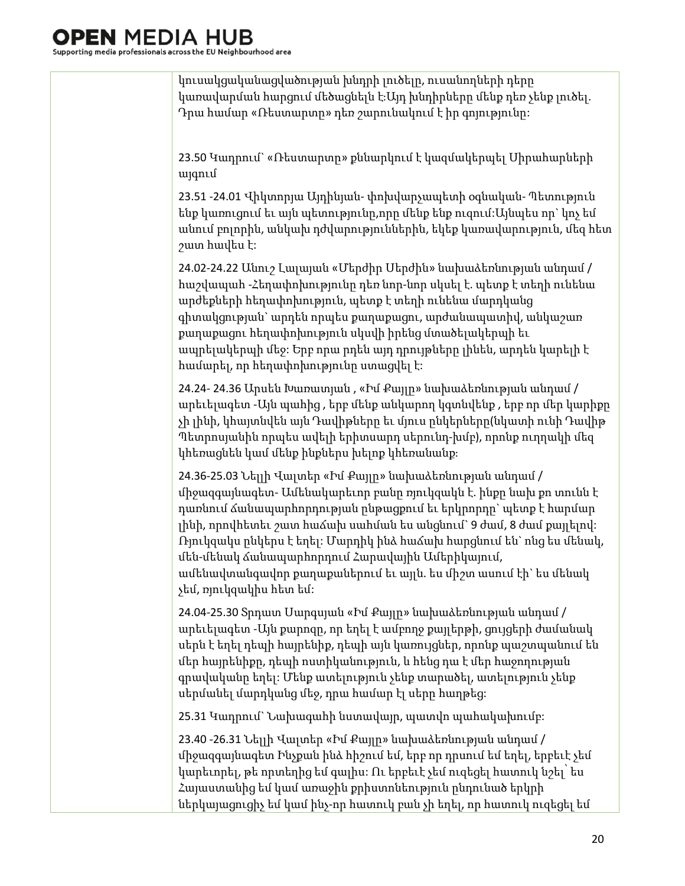կուսակցականացվածության խնդրի լուծելը, ուսանողների դերը կառավարման հարցում մեծացնելն է։Այդ խնդիրները մենք դեռ չենք լուծել. Դրա համար «Ռեստարտը» դեռ շարունակում է իր գոյությունը:

23.50 Կադրում` «Ռեստարտը» քննարկում է կազմակերպել Սիրահարների այգում

23.51 -24.01 Վիկտորյա Այդինյան- փոխվարչապետի օգնական- Պետություն ենք կառուցում եւ այն պետությունը,որը մենք ենք ուզում:Այնպես որ` կոչ եմ անում բոլորին, անկախ դժվարություններին, եկեք կառավարություն, մեզ հետ շատ հավես է:

24.02-24.22 Անուշ Լալայան «Մերժիր Սերժին» նախաձեռնության անդամ / հաշվապահ -Հեղափոխությունը դեռ նոր-նոր սկսել է. պետք է տեղի ունենա արժեքների հեղափոխություն, պետք է տեղի ունենա մարդկանց գիտակցության` արդեն որպես քաղաքացու, արժանապատիվ, անկաշառ քաղաքացու հեղափոխություն սկսվի իրենց մտածելակերպի եւ ապրելակերպի մեջ: Երբ որա րդեն այդ դրույթները լինեն, արդեն կարելի է համարել, որ հեղափոխությունը ստացվել է:

24.24- 24.36 Արսեն Խառատյան , «Իմ Քայլը» նախաձեռնության անդամ / արեւելագետ -Այն պահից , երբ մենք անկարող կգտնվենք , երբ որ մեր կարիքը չի լինի, կհայտնվեն այն Դավիթները եւ մյուս ընկերները(նկատի ունի Դավիթ Պետրոսյանին որպես ավելի երիտսարդ սերունդ-խմբ), որոնք ուղղակի մեզ կհեռացնեն կամ մենք ինքներս խելոք կհեռանանք։

24.36-25.03 Նելլի Վալտեր «Իմ Քայլը» նախաձեռնության անդամ / միջազգայնագետ- Ամենակարեւոր բանը ռյուկզակն է. ինքը նախ քո տունն է դառնում ճանապարհորդության ընթացքում եւ երկրորդը` պետք է հարմար լինի, որովհետեւ շատ հաճախ սահման ես անցնում` 9 ժամ, 8 ժամ քայլելով: Ռյուկզակս ընկերս է եղել: Մարդիկ ինձ հաճախ հարցնում են` ոնց ես մենակ, մեն-մենակ ճանապարհորդում Հարավային Ամերիկայում, ամենավտանգավոր քաղաքաներում եւ այլն. ես միշտ ասում էի` ես մենակ չեմ, ռյուկզակիս հետ եմ:

24.04-25.30 Տրդատ Սարգսյան «Իմ Քայլը» նախաձեռնության անդամ / արեւելագետ -Այն քարոզը, որ եղել է ամբողջ քայլերթի, ցույցերի ժամանակ սերն է եղել դեպի հայրենիք, դեպի այն կառույցներ, որոնք պաշտպանում են մեր հայրենիքը, դեպի ոստիկանություն, և հենց դա է մեր հաջողության գրավականը եղել: Մենք ատելություն չենք տարածել, ատելություն չենք սերմանել մարդկանց մեջ, դրա համար էլ սերը հաղթեց:

25.31 Կադրում` Նախագահի նստավայր, պատվո պահակախումբ:

23.40 -26.31 Նելլի Վալտեր «Իմ Քայլը» նախաձեռնության անդամ / միջազգայնագետ Ինչքան ինձ հիշում եմ, երբ որ դրսում եմ եղել, երբեւէ չեմ կարեւորել, թե որտեղից եմ գալիս: Ու երբեւէ չեմ ուզեցել հատուկ նշել՝ ես Հայաստանից եմ կամ առաջին քրիստոնեություն ընդունած երկրի ներկայացուցիչ եմ կամ ինչ-որ հատուկ բան չի եղել, որ հատուկ ուզեցել եմ